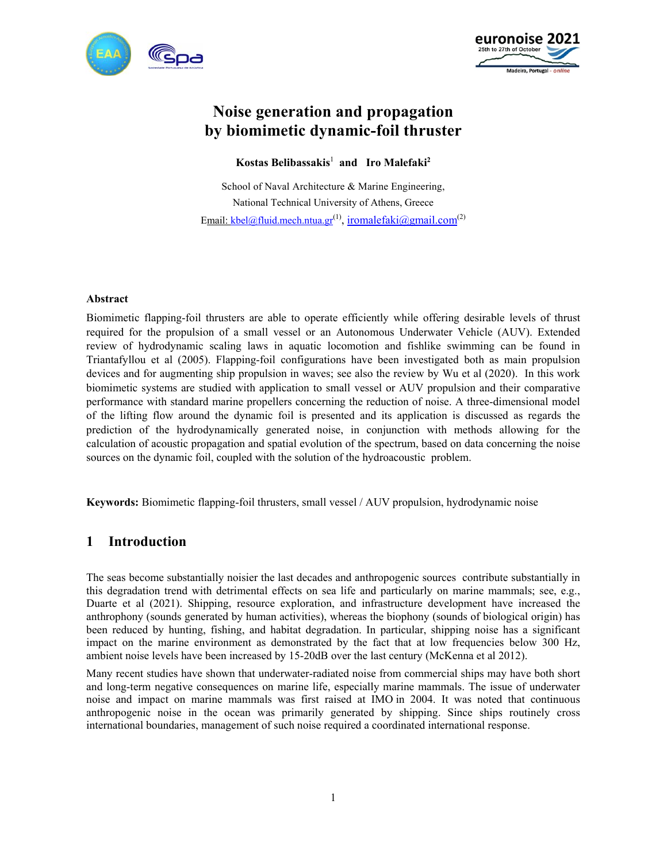



# **Noise generation and propagation by biomimetic dynamic-foil thruster**

#### $K$ ostas Belibassakis<sup>1</sup> and Iro Malefaki<sup>2</sup>

School of Naval Architecture & Marine Engineering, National Technical University of Athens, Greece Email: kbel@fluid.mech.ntua.gr<sup>(1)</sup>, iromalefaki@gmail.com<sup>(2)</sup>

#### **Abstract**

Biomimetic flapping-foil thrusters are able to operate efficiently while offering desirable levels of thrust required for the propulsion of a small vessel or an Autonomous Underwater Vehicle (AUV). Extended review of hydrodynamic scaling laws in aquatic locomotion and fishlike swimming can be found in Triantafyllou et al (2005). Flapping-foil configurations have been investigated both as main propulsion devices and for augmenting ship propulsion in waves; see also the review by Wu et al (2020). In this work biomimetic systems are studied with application to small vessel or AUV propulsion and their comparative performance with standard marine propellers concerning the reduction of noise. A three-dimensional model of the lifting flow around the dynamic foil is presented and its application is discussed as regards the prediction of the hydrodynamically generated noise, in conjunction with methods allowing for the calculation of acoustic propagation and spatial evolution of the spectrum, based on data concerning the noise sources on the dynamic foil, coupled with the solution of the hydroacoustic problem.

**Keywords:** Biomimetic flapping-foil thrusters, small vessel / AUV propulsion, hydrodynamic noise

## **1 Introduction**

The seas become substantially noisier the last decades and anthropogenic sources contribute substantially in this degradation trend with detrimental effects on sea life and particularly on marine mammals; see, e.g., Duarte et al (2021). Shipping, resource exploration, and infrastructure development have increased the anthrophony (sounds generated by human activities), whereas the biophony (sounds of biological origin) has been reduced by hunting, fishing, and habitat degradation. In particular, shipping noise has a significant impact on the marine environment as demonstrated by the fact that at low frequencies below 300 Hz, ambient noise levels have been increased by 15-20dB over the last century (McKenna et al 2012).

Many recent studies have shown that underwater-radiated noise from commercial ships may have both short and long-term negative consequences on marine life, especially marine mammals. The issue of underwater noise and impact on marine mammals was first raised at IMO in 2004. It was noted that continuous anthropogenic noise in the ocean was primarily generated by shipping. Since ships routinely cross international boundaries, management of such noise required a coordinated international response.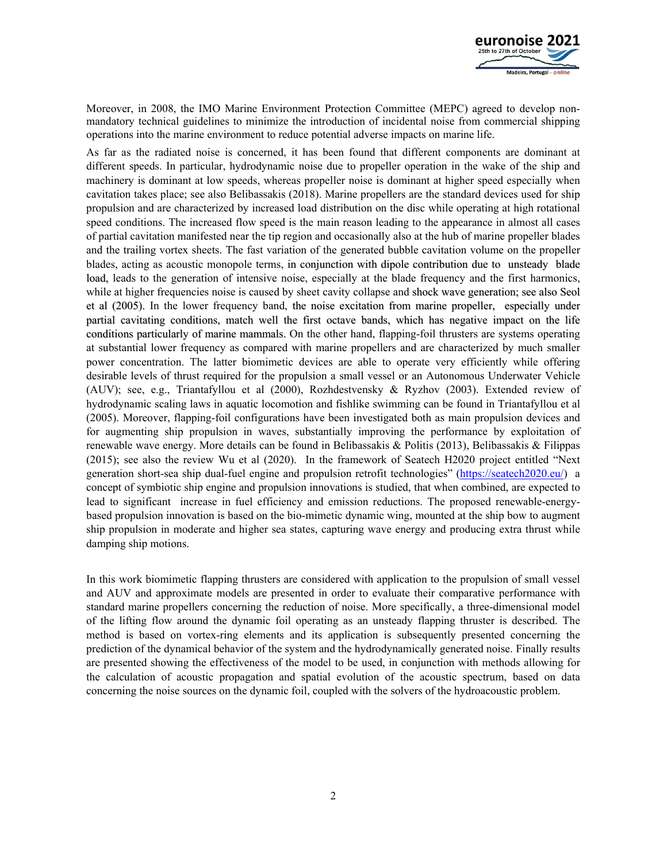

Moreover, in 2008, the IMO Marine Environment Protection Committee (MEPC) agreed to develop nonmandatory technical guidelines to minimize the introduction of incidental noise from commercial shipping operations into the marine environment to reduce potential adverse impacts on marine life.

As far as the radiated noise is concerned, it has been found that different components are dominant at different speeds. In particular, hydrodynamic noise due to propeller operation in the wake of the ship and machinery is dominant at low speeds, whereas propeller noise is dominant at higher speed especially when cavitation takes place; see also Belibassakis (2018). Marine propellers are the standard devices used for ship propulsion and are characterized by increased load distribution on the disc while operating at high rotational speed conditions. The increased flow speed is the main reason leading to the appearance in almost all cases of partial cavitation manifested near the tip region and occasionally also at the hub of marine propeller blades and the trailing vortex sheets. The fast variation of the generated bubble cavitation volume on the propeller blades, acting as acoustic monopole terms, in conjunction with dipole contribution due to unsteady blade load, leads to the generation of intensive noise, especially at the blade frequency and the first harmonics, while at higher frequencies noise is caused by sheet cavity collapse and shock wave generation; see also Seol et al (2005). In the lower frequency band, the noise excitation from marine propeller, especially under partial cavitating conditions, match well the first octave bands, which has negative impact on the life conditions particularly of marine mammals. On the other hand, flapping-foil thrusters are systems operating at substantial lower frequency as compared with marine propellers and are characterized by much smaller power concentration. The latter biomimetic devices are able to operate very efficiently while offering desirable levels of thrust required for the propulsion a small vessel or an Autonomous Underwater Vehicle (AUV); see, e.g., Triantafyllou et al (2000), Rozhdestvensky & Ryzhov (2003). Extended review of hydrodynamic scaling laws in aquatic locomotion and fishlike swimming can be found in Triantafyllou et al (2005). Moreover, flapping-foil configurations have been investigated both as main propulsion devices and for augmenting ship propulsion in waves, substantially improving the performance by exploitation of renewable wave energy. More details can be found in Belibassakis & Politis (2013), Belibassakis & Filippas (2015); see also the review Wu et al (2020). In the framework of Seatech H2020 project entitled "Next generation short-sea ship dual-fuel engine and propulsion retrofit technologies" (https://seatech2020.eu/) a concept of symbiotic ship engine and propulsion innovations is studied, that when combined, are expected to lead to significant increase in fuel efficiency and emission reductions. The proposed renewable-energybased propulsion innovation is based on the bio-mimetic dynamic wing, mounted at the ship bow to augment ship propulsion in moderate and higher sea states, capturing wave energy and producing extra thrust while damping ship motions.

In this work biomimetic flapping thrusters are considered with application to the propulsion of small vessel and AUV and approximate models are presented in order to evaluate their comparative performance with standard marine propellers concerning the reduction of noise. More specifically, a three-dimensional model of the lifting flow around the dynamic foil operating as an unsteady flapping thruster is described. The method is based on vortex-ring elements and its application is subsequently presented concerning the prediction of the dynamical behavior of the system and the hydrodynamically generated noise. Finally results are presented showing the effectiveness of the model to be used, in conjunction with methods allowing for the calculation of acoustic propagation and spatial evolution of the acoustic spectrum, based on data concerning the noise sources on the dynamic foil, coupled with the solvers of the hydroacoustic problem.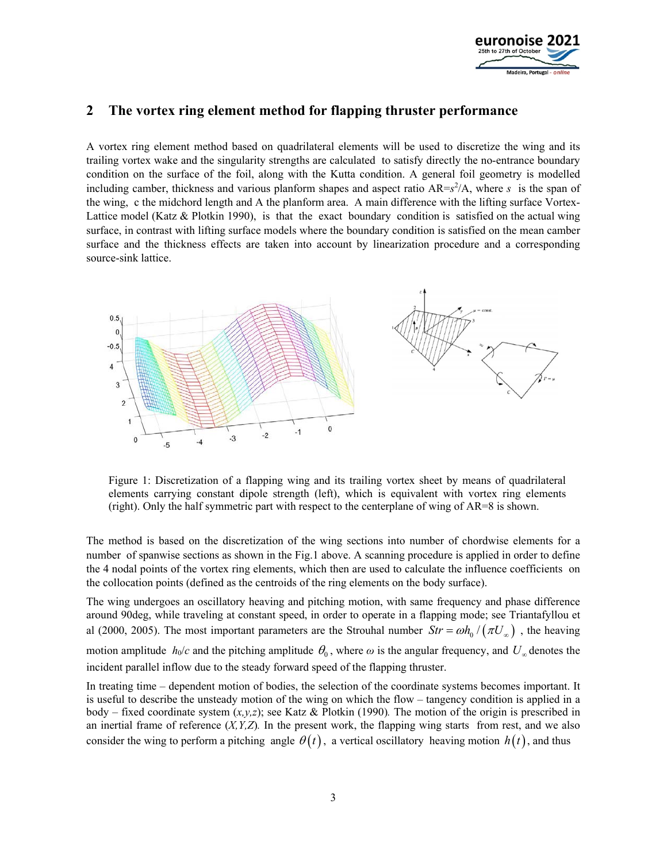

# **2 The vortex ring element method for flapping thruster performance**

A vortex ring element method based on quadrilateral elements will be used to discretize the wing and its trailing vortex wake and the singularity strengths are calculated to satisfy directly the no-entrance boundary condition on the surface of the foil, along with the Kutta condition. A general foil geometry is modelled including camber, thickness and various planform shapes and aspect ratio AR=*s* 2 /A, where *s* is the span of the wing, c the midchord length and A the planform area. A main difference with the lifting surface Vortex-Lattice model (Katz  $\&$  Plotkin 1990), is that the exact boundary condition is satisfied on the actual wing surface, in contrast with lifting surface models where the boundary condition is satisfied on the mean camber surface and the thickness effects are taken into account by linearization procedure and a corresponding source-sink lattice.



Figure 1: Discretization of a flapping wing and its trailing vortex sheet by means of quadrilateral elements carrying constant dipole strength (left), which is equivalent with vortex ring elements (right). Only the half symmetric part with respect to the centerplane of wing of AR=8 is shown.

The method is based on the discretization of the wing sections into number of chordwise elements for a number of spanwise sections as shown in the Fig.1 above. A scanning procedure is applied in order to define the 4 nodal points of the vortex ring elements, which then are used to calculate the influence coefficients on the collocation points (defined as the centroids of the ring elements on the body surface).

The wing undergoes an oscillatory heaving and pitching motion, with same frequency and phase difference around 90deg, while traveling at constant speed, in order to operate in a flapping mode; see Triantafyllou et al (2000, 2005). The most important parameters are the Strouhal number  $Str = \omega h_0 / (\pi U_0)$ , the heaving motion amplitude  $h_0/c$  and the pitching amplitude  $\theta_0$ , where  $\omega$  is the angular frequency, and  $U_{\infty}$  denotes the incident parallel inflow due to the steady forward speed of the flapping thruster.

In treating time – dependent motion of bodies, the selection of the coordinate systems becomes important. It is useful to describe the unsteady motion of the wing on which the flow – tangency condition is applied in a body – fixed coordinate system (*x,y,z*); see Katz & Plotkin (1990)*.* The motion of the origin is prescribed in an inertial frame of reference  $(X, Y, Z)$ . In the present work, the flapping wing starts from rest, and we also consider the wing to perform a pitching angle  $\theta(t)$ , a vertical oscillatory heaving motion  $h(t)$ , and thus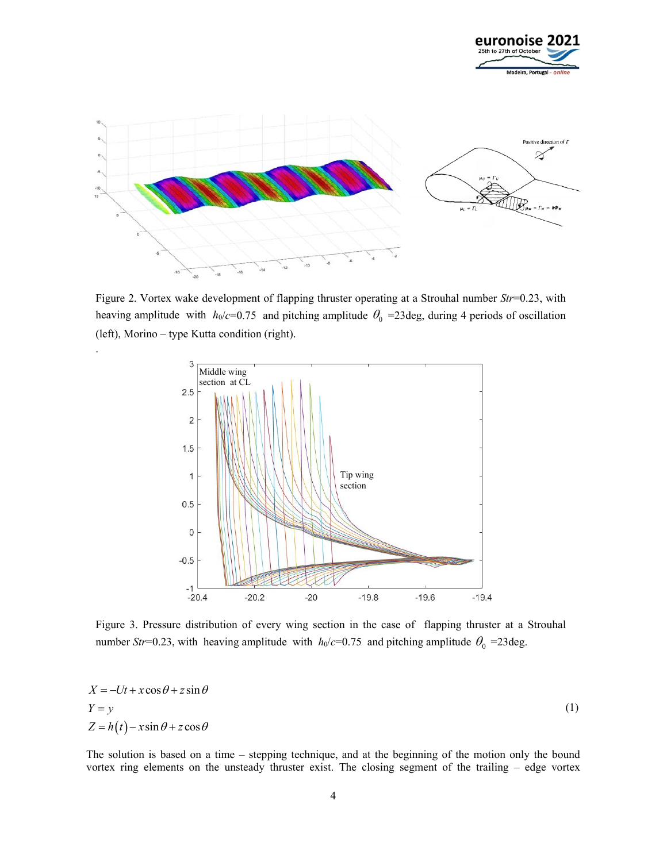



Figure 2. Vortex wake development of flapping thruster operating at a Strouhal number *Str*=0.23, with heaving amplitude with  $h_0/c=0.75$  and pitching amplitude  $\theta_0 = 23$ deg, during 4 periods of oscillation (left), Morino – type Kutta condition (right).

.



Figure 3. Pressure distribution of every wing section in the case of flapping thruster at a Strouhal number *Str*=0.23, with heaving amplitude with  $h_0/c=0.75$  and pitching amplitude  $\theta_0 = 23$ deg.

$$
X = -Ut + x\cos\theta + z\sin\theta
$$
  
\n
$$
Y = y
$$
  
\n
$$
Z = h(t) - x\sin\theta + z\cos\theta
$$
 (1)

The solution is based on a time – stepping technique, and at the beginning of the motion only the bound vortex ring elements on the unsteady thruster exist. The closing segment of the trailing – edge vortex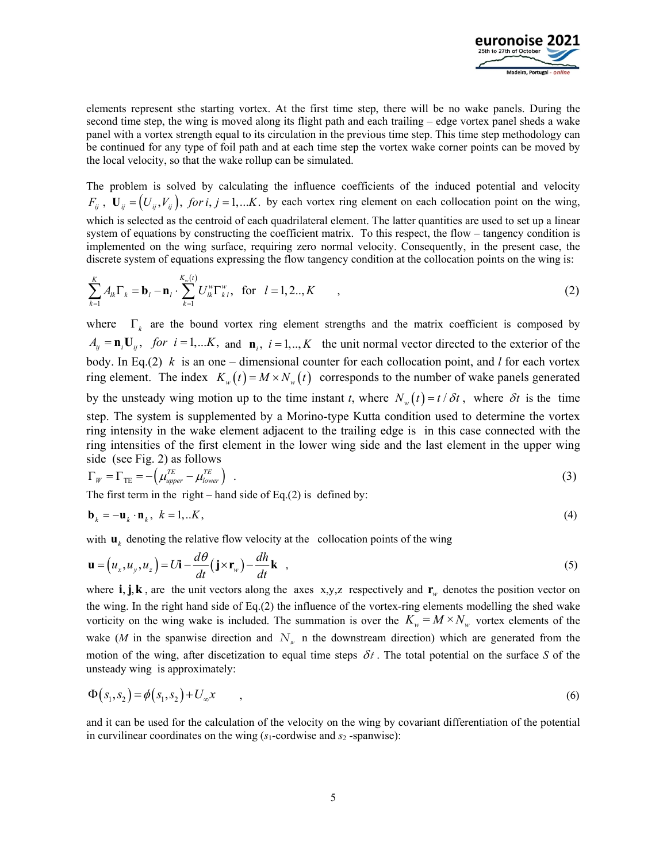

elements represent sthe starting vortex. At the first time step, there will be no wake panels. During the second time step, the wing is moved along its flight path and each trailing – edge vortex panel sheds a wake panel with a vortex strength equal to its circulation in the previous time step. This time step methodology can be continued for any type of foil path and at each time step the vortex wake corner points can be moved by the local velocity, so that the wake rollup can be simulated.

The problem is solved by calculating the influence coefficients of the induced potential and velocity  $F_{ii}$ ,  $\mathbf{U}_{ii} = (U_{ii}, V_{ii})$ , for i, j = 1,... K. by each vortex ring element on each collocation point on the wing, which is selected as the centroid of each quadrilateral element. The latter quantities are used to set up a linear system of equations by constructing the coefficient matrix. To this respect, the flow – tangency condition is implemented on the wing surface, requiring zero normal velocity. Consequently, in the present case, the discrete system of equations expressing the flow tangency condition at the collocation points on the wing is:

$$
\sum_{k=1}^{K} A_{lk} \Gamma_k = \mathbf{b}_l - \mathbf{n}_l \cdot \sum_{k=1}^{K_w(i)} U_{lk}^w \Gamma_{kl}^w, \text{ for } l = 1, 2..., K \qquad ,
$$
 (2)

where  $\Gamma_k$  are the bound vortex ring element strengths and the matrix coefficient is composed by  $A_{ij} = \mathbf{n}_i \mathbf{U}_{ij}$ , for  $i = 1,...K$ , and  $\mathbf{n}_i$ ,  $i = 1,...,K$  the unit normal vector directed to the exterior of the body. In Eq.(2) *k* is an one – dimensional counter for each collocation point, and *l* for each vortex ring element. The index  $K_w(t) = M \times N_w(t)$  corresponds to the number of wake panels generated by the unsteady wing motion up to the time instant *t*, where  $N_w(t) = t/\delta t$ , where  $\delta t$  is the time step. The system is supplemented by a Morino-type Kutta condition used to determine the vortex ring intensity in the wake element adjacent to the trailing edge is in this case connected with the ring intensities of the first element in the lower wing side and the last element in the upper wing side (see Fig. 2) as follows

$$
\Gamma_W = \Gamma_{\rm TE} = -\left(\mu_{\text{upper}}^{\text{TE}} - \mu_{\text{lower}}^{\text{TE}}\right) \tag{3}
$$

The first term in the right – hand side of Eq.(2) is defined by:

$$
\mathbf{b}_k = -\mathbf{u}_k \cdot \mathbf{n}_k, \ k = 1, \dots K,
$$

with  $\mathbf{u}_k$  denoting the relative flow velocity at the collocation points of the wing

$$
\mathbf{u} = (u_x, u_y, u_z) = U\mathbf{i} - \frac{d\theta}{dt} (\mathbf{j} \times \mathbf{r}_w) - \frac{dh}{dt} \mathbf{k} \quad , \tag{5}
$$

where  $\mathbf{i}, \mathbf{j}, \mathbf{k}$ , are the unit vectors along the axes x,y,z respectively and  $\mathbf{r}_w$  denotes the position vector on the wing. In the right hand side of Eq.(2) the influence of the vortex-ring elements modelling the shed wake vorticity on the wing wake is included. The summation is over the  $K_w = M \times N_w$  vortex elements of the wake (*M* in the spanwise direction and  $N_{w}$  n the downstream direction) which are generated from the motion of the wing, after discetization to equal time steps  $\delta t$ . The total potential on the surface S of the unsteady wing is approximately:

$$
\Phi(s_1, s_2) = \phi(s_1, s_2) + U_{\infty} x \tag{6}
$$

and it can be used for the calculation of the velocity on the wing by covariant differentiation of the potential in curvilinear coordinates on the wing  $(s_1$ -cordwise and  $s_2$ -spanwise):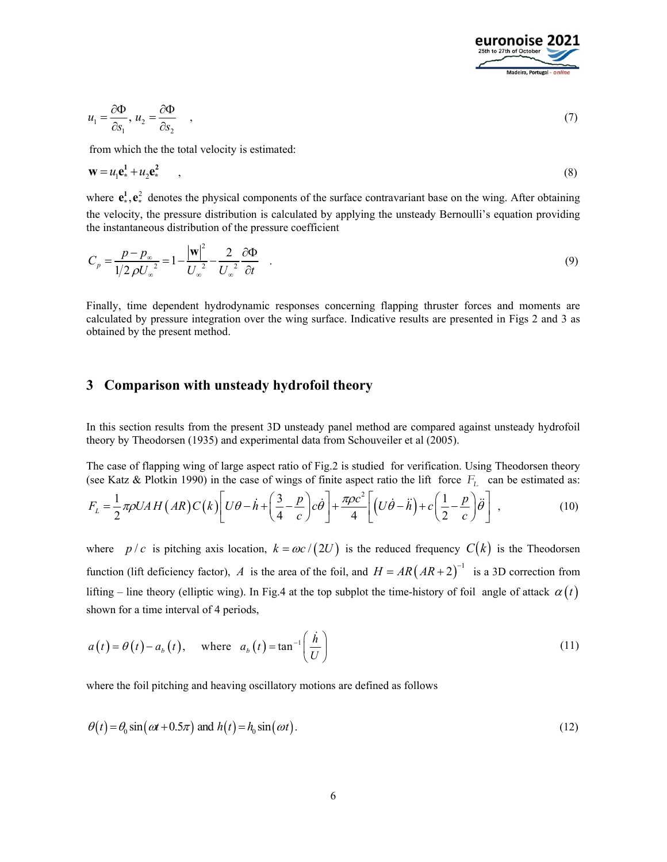

$$
u_1 = \frac{\partial \Phi}{\partial s_1}, \ u_2 = \frac{\partial \Phi}{\partial s_2} \quad , \tag{7}
$$

from which the the total velocity is estimated:

$$
\mathbf{w} = u_1 \mathbf{e}_*^1 + u_2 \mathbf{e}_*^2 \tag{8}
$$

where  $e^1_*, e^2_*$  denotes the physical components of the surface contravariant base on the wing. After obtaining the velocity, the pressure distribution is calculated by applying the unsteady Bernoulli's equation providing the instantaneous distribution of the pressure coefficient

$$
C_p = \frac{p - p_\infty}{1/2 \rho U_\infty^2} = 1 - \frac{|\mathbf{w}|^2}{U_\infty^2} - \frac{2}{U_\infty^2} \frac{\partial \Phi}{\partial t} \quad . \tag{9}
$$

Finally, time dependent hydrodynamic responses concerning flapping thruster forces and moments are calculated by pressure integration over the wing surface. Indicative results are presented in Figs 2 and 3 as obtained by the present method.

### **3 Comparison with unsteady hydrofoil theory**

In this section results from the present 3D unsteady panel method are compared against unsteady hydrofoil theory by Theodorsen (1935) and experimental data from Schouveiler et al (2005).

The case of flapping wing of large aspect ratio of Fig.2 is studied for verification. Using Theodorsen theory (see Katz & Plotkin 1990) in the case of wings of finite aspect ratio the lift force  $F<sub>L</sub>$  can be estimated as:

$$
F_L = \frac{1}{2} \pi \rho U A H (AR) C(k) \left[ U \theta - \dot{h} + \left( \frac{3}{4} - \frac{p}{c} \right) c \dot{\theta} \right] + \frac{\pi \rho c^2}{4} \left[ (U \dot{\theta} - \ddot{h}) + c \left( \frac{1}{2} - \frac{p}{c} \right) \ddot{\theta} \right],
$$
(10)

where *p/c* is pitching axis location,  $k = \omega c / (2U)$  is the reduced frequency  $C(k)$  is the Theodorsen function (lift deficiency factor), *A* is the area of the foil, and  $H = AR (AR + 2)^{-1}$  is a 3D correction from lifting – line theory (elliptic wing). In Fig.4 at the top subplot the time-history of foil angle of attack  $\alpha(t)$ shown for a time interval of 4 periods,

$$
a(t) = \theta(t) - a_b(t), \quad \text{where} \quad a_b(t) = \tan^{-1}\left(\frac{\dot{h}}{U}\right)
$$
 (11)

where the foil pitching and heaving oscillatory motions are defined as follows

$$
\theta(t) = \theta_0 \sin(\omega t + 0.5\pi) \text{ and } h(t) = h_0 \sin(\omega t). \tag{12}
$$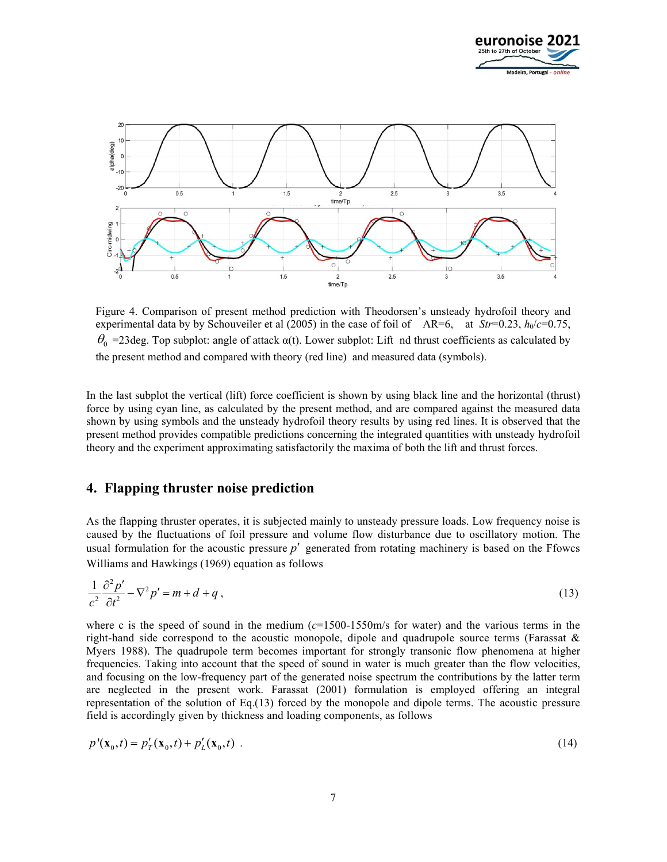



Figure 4. Comparison of present method prediction with Theodorsen's unsteady hydrofoil theory and experimental data by by Schouveiler et al (2005) in the case of foil of AR=6, at  $Str=0.23$ ,  $h_0/c=0.75$ ,  $\theta_0$  =23deg. Top subplot: angle of attack  $\alpha(t)$ . Lower subplot: Lift nd thrust coefficients as calculated by the present method and compared with theory (red line) and measured data (symbols).

In the last subplot the vertical (lift) force coefficient is shown by using black line and the horizontal (thrust) force by using cyan line, as calculated by the present method, and are compared against the measured data shown by using symbols and the unsteady hydrofoil theory results by using red lines. It is observed that the present method provides compatible predictions concerning the integrated quantities with unsteady hydrofoil theory and the experiment approximating satisfactorily the maxima of both the lift and thrust forces.

#### **4. Flapping thruster noise prediction**

As the flapping thruster operates, it is subjected mainly to unsteady pressure loads. Low frequency noise is caused by the fluctuations of foil pressure and volume flow disturbance due to oscillatory motion. The usual formulation for the acoustic pressure  $p'$  generated from rotating machinery is based on the Ffowcs Williams and Hawkings (1969) equation as follows

$$
\frac{1}{c^2} \frac{\partial^2 p'}{\partial t^2} - \nabla^2 p' = m + d + q \,,\tag{13}
$$

where c is the speed of sound in the medium  $(c=1500-1550m/s)$  for water) and the various terms in the right-hand side correspond to the acoustic monopole, dipole and quadrupole source terms (Farassat  $\&$ Myers 1988). The quadrupole term becomes important for strongly transonic flow phenomena at higher frequencies. Taking into account that the speed of sound in water is much greater than the flow velocities, and focusing on the low-frequency part of the generated noise spectrum the contributions by the latter term are neglected in the present work. Farassat (2001) formulation is employed offering an integral representation of the solution of Eq.(13) forced by the monopole and dipole terms. The acoustic pressure field is accordingly given by thickness and loading components, as follows

$$
p'(\mathbf{x}_0, t) = p'_T(\mathbf{x}_0, t) + p'_L(\mathbf{x}_0, t) \tag{14}
$$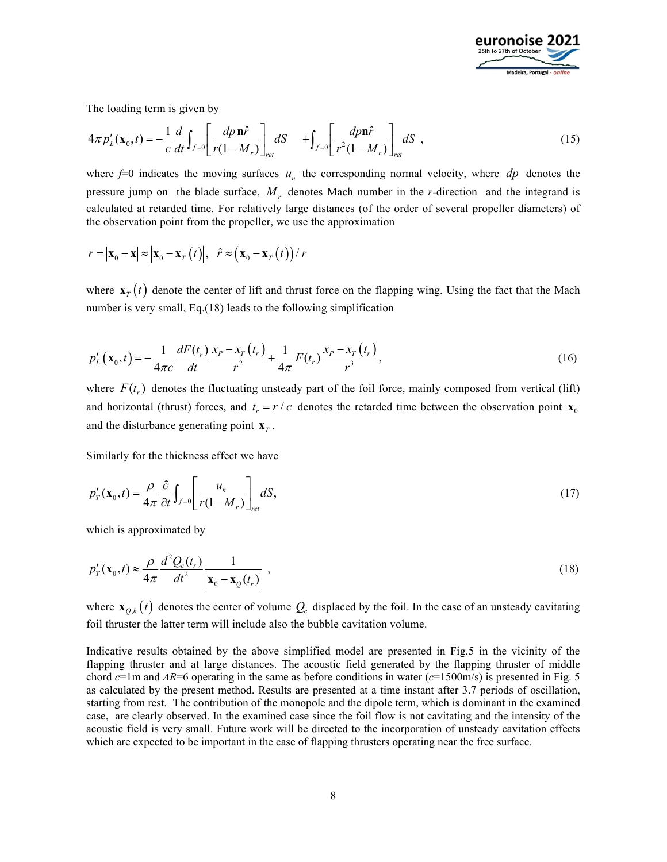

The loading term is given by

$$
4\pi p_L'(\mathbf{x}_0, t) = -\frac{1}{c} \frac{d}{dt} \int_{f=0} \left[ \frac{dp \, \mathbf{n} \hat{r}}{r(1 - M_r)} \right]_{ret} dS \quad + \int_{f=0} \left[ \frac{dp \, \mathbf{n} \hat{r}}{r^2(1 - M_r)} \right]_{ret} dS \quad , \tag{15}
$$

where  $f=0$  indicates the moving surfaces  $u_n$  the corresponding normal velocity, where  $dp$  denotes the pressure jump on the blade surface, *Mr* denotes Mach number in the *r*-direction and the integrand is calculated at retarded time. For relatively large distances (of the order of several propeller diameters) of the observation point from the propeller, we use the approximation

$$
r = |\mathbf{x}_{0} - \mathbf{x}| \approx |\mathbf{x}_{0} - \mathbf{x}_{T}(t)|, \quad \hat{r} \approx (\mathbf{x}_{0} - \mathbf{x}_{T}(t))/r
$$

where  $\mathbf{x}_T(t)$  denote the center of lift and thrust force on the flapping wing. Using the fact that the Mach number is very small, Eq.(18) leads to the following simplification

$$
p'_{L}(\mathbf{x}_{0},t) = -\frac{1}{4\pi c} \frac{dF(t_{r})}{dt} \frac{x_{P} - x_{T}(t_{r})}{r^{2}} + \frac{1}{4\pi} F(t_{r}) \frac{x_{P} - x_{T}(t_{r})}{r^{3}},
$$
\n(16)

where  $F(t_r)$  denotes the fluctuating unsteady part of the foil force, mainly composed from vertical (lift) and horizontal (thrust) forces, and  $t_r = r/c$  denotes the retarded time between the observation point  $\mathbf{x}_0$ and the disturbance generating point  $\mathbf{x}_r$ .

Similarly for the thickness effect we have

$$
p'_T(\mathbf{x}_0, t) = \frac{\rho}{4\pi} \frac{\partial}{\partial t} \int_{f=0} \left[ \frac{u_n}{r(1 - M_r)} \right]_{ret} dS,
$$
\n(17)

which is approximated by

$$
p'_T(\mathbf{x}_0, t) \approx \frac{\rho}{4\pi} \frac{d^2 Q_c(t_r)}{dt^2} \frac{1}{|\mathbf{x}_0 - \mathbf{x}_Q(t_r)|} \tag{18}
$$

where  $\mathbf{x}_{0,k}(t)$  denotes the center of volume  $Q_c$  displaced by the foil. In the case of an unsteady cavitating foil thruster the latter term will include also the bubble cavitation volume.

Indicative results obtained by the above simplified model are presented in Fig.5 in the vicinity of the flapping thruster and at large distances. The acoustic field generated by the flapping thruster of middle chord *c*=1m and *AR*=6 operating in the same as before conditions in water (*c*=1500m/s) is presented in Fig. 5 as calculated by the present method. Results are presented at a time instant after 3.7 periods of oscillation, starting from rest. The contribution of the monopole and the dipole term, which is dominant in the examined case, are clearly observed. In the examined case since the foil flow is not cavitating and the intensity of the acoustic field is very small. Future work will be directed to the incorporation of unsteady cavitation effects which are expected to be important in the case of flapping thrusters operating near the free surface.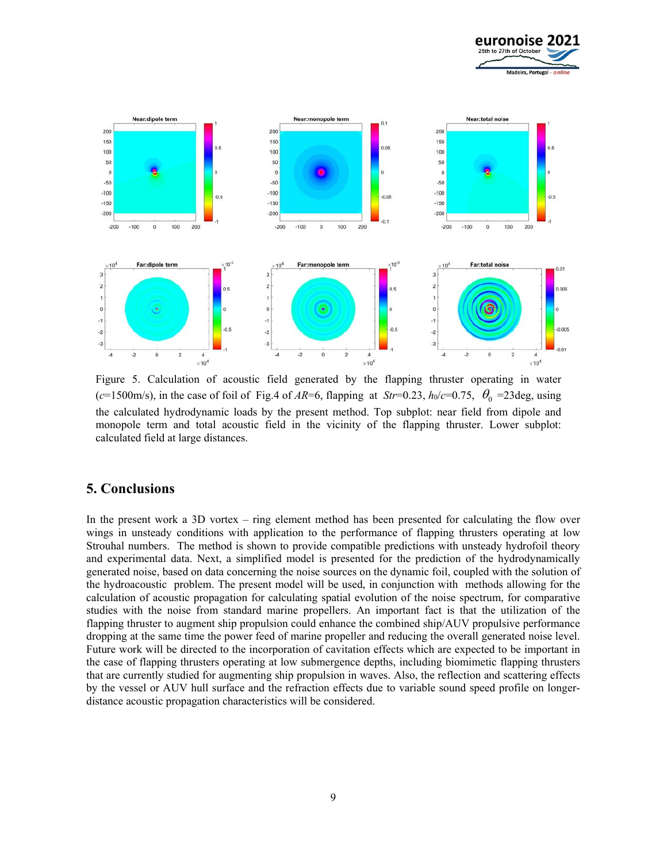



Figure 5. Calculation of acoustic field generated by the flapping thruster operating in water ( $c=1500$ m/s), in the case of foil of Fig.4 of *AR*=6, flapping at *Str*=0.23,  $h_0/c=0.75$ ,  $\theta_0 = 23 \text{deg}$ , using the calculated hydrodynamic loads by the present method. Top subplot: near field from dipole and monopole term and total acoustic field in the vicinity of the flapping thruster. Lower subplot: calculated field at large distances.

#### **5. Conclusions**

In the present work a 3D vortex – ring element method has been presented for calculating the flow over wings in unsteady conditions with application to the performance of flapping thrusters operating at low Strouhal numbers. The method is shown to provide compatible predictions with unsteady hydrofoil theory and experimental data. Next, a simplified model is presented for the prediction of the hydrodynamically generated noise, based on data concerning the noise sources on the dynamic foil, coupled with the solution of the hydroacoustic problem. The present model will be used, in conjunction with methods allowing for the calculation of acoustic propagation for calculating spatial evolution of the noise spectrum, for comparative studies with the noise from standard marine propellers. An important fact is that the utilization of the flapping thruster to augment ship propulsion could enhance the combined ship/AUV propulsive performance dropping at the same time the power feed of marine propeller and reducing the overall generated noise level. Future work will be directed to the incorporation of cavitation effects which are expected to be important in the case of flapping thrusters operating at low submergence depths, including biomimetic flapping thrusters that are currently studied for augmenting ship propulsion in waves. Also, the reflection and scattering effects by the vessel or AUV hull surface and the refraction effects due to variable sound speed profile on longerdistance acoustic propagation characteristics will be considered.